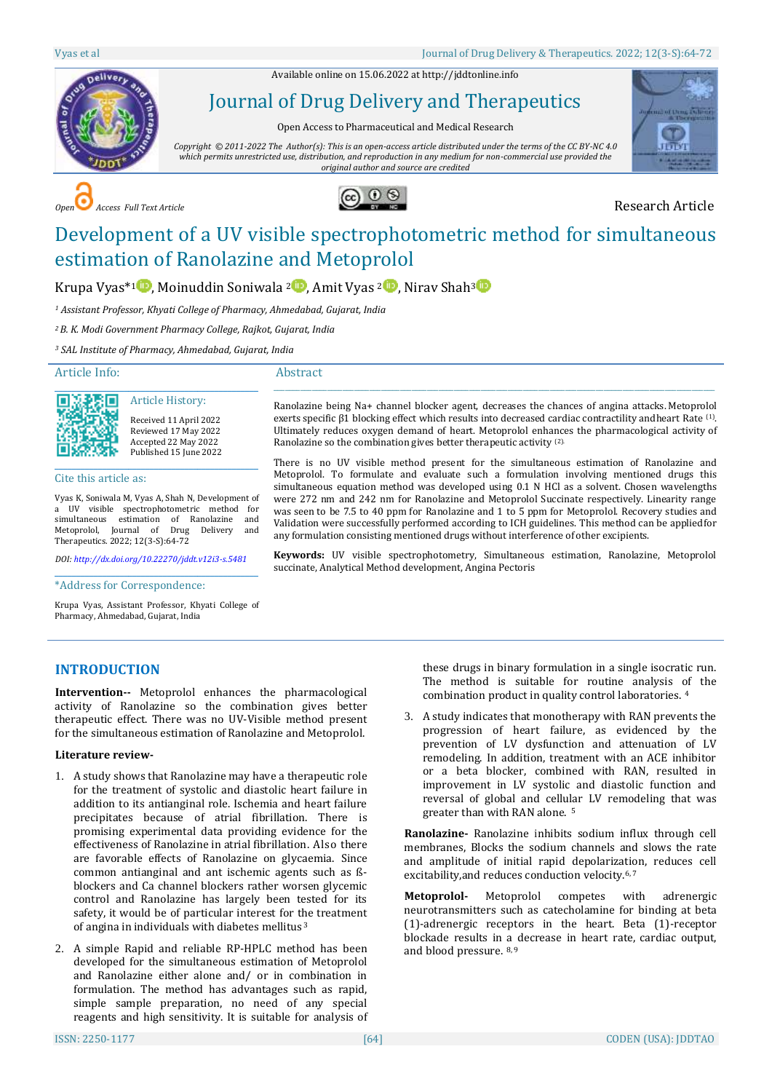Available online on 15.06.2022 a[t http://jddtonline.info](http://jddtonline.info/)



# Journal of Drug Delivery and Therapeutics

Open Access to Pharmaceutical and Medical Research

*Copyright © 2011-2022 The Author(s): This is an open-access article distributed under the terms of the CC BY-NC 4.0 which permits unrestricted use, distribution, and reproduction in any medium for non-commercial use provided the original author and source are credited*



**COPEN Access Full Text Article Research Article** 



# Development of a UV visible spectrophotometric method for simultaneous estimation of Ranolazine and Metoprolol

Ranolazine so the combination gives better therapeutic activity (2).

succinate, Analytical Method development, Angina Pectoris

 $\_$  ,  $\_$  ,  $\_$  ,  $\_$  ,  $\_$  ,  $\_$  ,  $\_$  ,  $\_$  ,  $\_$  ,  $\_$  ,  $\_$  ,  $\_$  ,  $\_$  ,  $\_$  ,  $\_$  ,  $\_$  ,  $\_$  ,  $\_$  ,  $\_$  ,  $\_$  ,  $\_$  ,  $\_$  ,  $\_$  ,  $\_$  ,  $\_$  ,  $\_$  ,  $\_$  ,  $\_$  ,  $\_$  ,  $\_$  ,  $\_$  ,  $\_$  ,  $\_$  ,  $\_$  ,  $\_$  ,  $\_$  ,  $\_$  , Ranolazine being Na+ channel blocker agent, decreases the chances of angina attacks. Metoprolol exerts specific β1 blocking effect which results into decreased cardiac contractility and heart Rate  $(1)$ . Ultimately reduces oxygen demand of heart. Metoprolol enhances the pharmacological activity of

There is no UV visible method present for the simultaneous estimation of Ranolazine and Metoprolol. To formulate and evaluate such a formulation involving mentioned drugs this simultaneous equation method was developed using 0.1 N HCl as a solvent. Chosen wavelengths were 272 nm and 242 nm for Ranolazine and Metoprolol Succinate respectively. Linearity range was seen to be 7.5 to 40 ppm for Ranolazine and 1 to 5 ppm for Metoprolol. Recovery studies and Validation were successfully performed according to ICH guidelines. This method can be appliedfor

**Keywords:** UV visible spectrophotometry, Simultaneous estimation, Ranolazine, Metoprolol

any formulation consisting mentioned drugs without interference of other excipients.

# Krupa Vyas<sup>\*1</sup> [,](http://orcid.org/0000-0003-3994-3324) Moinuddin Soniwala <sup>[2](http://orcid.org/0000-0034-7851-841)</sup> , Amit Vyas <sup>2</sup> , Nirav Shah<sup>[3](http://orcid.org/0000-0001-7957-3749) (1</sup>)

*<sup>1</sup> Assistant Professor, Khyati College of Pharmacy, Ahmedabad, Gujarat, India*

*<sup>2</sup>B. K. Modi Government Pharmacy College, Rajkot, Gujarat, India*

*<sup>3</sup> SAL Institute of Pharmacy, Ahmedabad, Gujarat, India*

#### Article Info:

#### Abstract



Received 11 April 2022 Reviewed 17 May 2022 Accepted 22 May 2022 Published 15 June 2022

Article History:

Cite this article as:

Vyas K, Soniwala M, Vyas A, Shah N, Development of a UV visible spectrophotometric method for simultaneous estimation of Ranolazine and Metoprolol, Journal of Drug Delivery and Therapeutics. 2022; 12(3-S):64-72

*DOI[: http://dx.doi.org/10.22270/jddt.v12i3-s.5481](http://dx.doi.org/10.22270/jddt.v12i3-s.5481)* \_\_\_\_\_\_\_\_\_\_\_\_\_\_\_\_\_\_\_\_\_\_\_\_\_\_\_\_\_\_\_\_\_\_\_\_\_\_\_\_\_\_\_\_\_\_\_

\*Address for Correspondence:

Krupa Vyas, Assistant Professor, Khyati College of Pharmacy, Ahmedabad, Gujarat, India

# **INTRODUCTION**

**Intervention--** Metoprolol enhances the pharmacological activity of Ranolazine so the combination gives better therapeutic effect. There was no UV-Visible method present for the simultaneous estimation of Ranolazine and Metoprolol.

#### **Literature review-**

- 1. A study shows that Ranolazine may have a therapeutic role for the treatment of systolic and diastolic heart failure in addition to its antianginal role. Ischemia and heart failure precipitates because of atrial fibrillation. There is promising experimental data providing evidence for the effectiveness of Ranolazine in atrial fibrillation. Also there are favorable effects of Ranolazine on glycaemia. Since common antianginal and ant ischemic agents such as ßblockers and Ca channel blockers rather worsen glycemic control and Ranolazine has largely been tested for its safety, it would be of particular interest for the treatment of angina in individuals with diabetes mellitus <sup>3</sup>
- 2. A simple Rapid and reliable RP-HPLC method has been developed for the simultaneous estimation of Metoprolol and Ranolazine either alone and/ or in combination in formulation. The method has advantages such as rapid, simple sample preparation, no need of any special reagents and high sensitivity. It is suitable for analysis of

these drugs in binary formulation in a single isocratic run. The method is suitable for routine analysis of the combination product in quality control laboratories. <sup>4</sup>

3. A study indicates that monotherapy with RAN prevents the progression of heart failure, as evidenced by the prevention of LV dysfunction and attenuation of LV remodeling. In addition, treatment with an ACE inhibitor or a beta blocker, combined with RAN, resulted in improvement in LV systolic and diastolic function and reversal of global and cellular LV remodeling that was greater than with RAN alone. <sup>5</sup>

**Ranolazine-** Ranolazine inhibits sodium influx through cell membranes, Blocks the sodium channels and slows the rate and amplitude of initial rapid depolarization, reduces cell excitability, and reduces conduction velocity.<sup>6, 7</sup>

**Metoprolol-** Metoprolol competes with adrenergic neurotransmitters such as catecholamine for binding at beta (1)-adrenergic receptors in the heart. Beta (1)-receptor blockade results in a decrease in heart rate, cardiac output, and blood pressure. 8, 9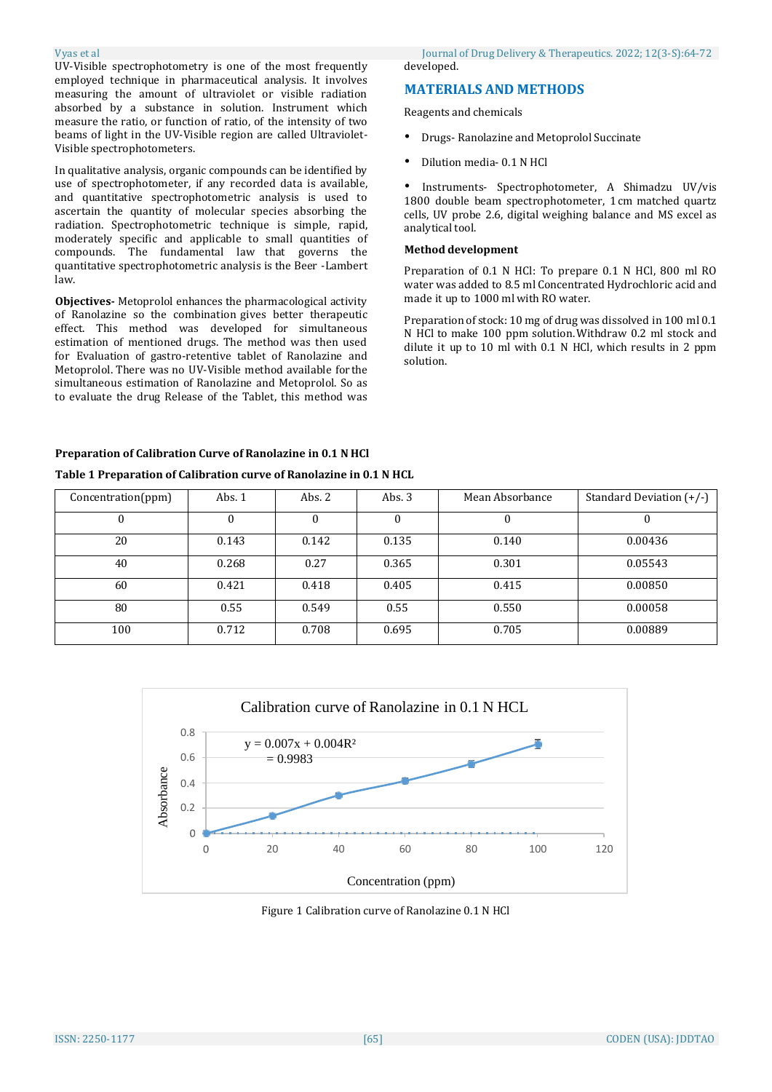UV-Visible spectrophotometry is one of the most frequently employed technique in pharmaceutical analysis. It involves measuring the amount of ultraviolet or visible radiation absorbed by a substance in solution. Instrument which measure the ratio, or function of ratio, of the intensity of two beams of light in the UV-Visible region are called Ultraviolet-Visible spectrophotometers.

In qualitative analysis, organic compounds can be identified by use of spectrophotometer, if any recorded data is available, and quantitative spectrophotometric analysis is used to ascertain the quantity of molecular species absorbing the radiation. Spectrophotometric technique is simple, rapid, moderately specific and applicable to small quantities of compounds. The fundamental law that governs the quantitative spectrophotometric analysis is the Beer -Lambert law.

**Objectives-** Metoprolol enhances the pharmacological activity of Ranolazine so the combination gives better therapeutic effect. This method was developed for simultaneous estimation of mentioned drugs. The method was then used for Evaluation of gastro-retentive tablet of Ranolazine and Metoprolol. There was no UV-Visible method available for the simultaneous estimation of Ranolazine and Metoprolol. So as to evaluate the drug Release of the Tablet, this method was

Vyas et al Journal of Drug Delivery & Therapeutics. 2022; 12(3-S):64-72 developed.

# **MATERIALS AND METHODS**

Reagents and chemicals

- Drugs- Ranolazine and Metoprolol Succinate
- Dilution media- 0.1 N HCl

• Instruments- Spectrophotometer, A Shimadzu UV/vis 1800 double beam spectrophotometer, 1 cm matched quartz cells, UV probe 2.6, digital weighing balance and MS excel as analytical tool.

#### **Method development**

Preparation of 0.1 N HCl: To prepare 0.1 N HCl, 800 ml RO water was added to 8.5 ml Concentrated Hydrochloric acid and made it up to 1000 ml with RO water.

Preparation of stock: 10 mg of drug was dissolved in 100 ml 0.1 N HCl to make 100 ppm solution.Withdraw 0.2 ml stock and dilute it up to 10 ml with 0.1 N HCl, which results in 2 ppm solution.

#### **Preparation of Calibration Curve of Ranolazine in 0.1 N HCl**

#### **Table 1 Preparation of Calibration curve of Ranolazine in 0.1 N HCL**

| Concentration(ppm) | Abs. $1$ | Abs. $2$ | Abs. $3$ | Mean Absorbance | Standard Deviation $(+/-)$ |
|--------------------|----------|----------|----------|-----------------|----------------------------|
|                    |          |          | 0        |                 |                            |
| 20                 | 0.143    | 0.142    | 0.135    | 0.140           | 0.00436                    |
| 40                 | 0.268    | 0.27     | 0.365    | 0.301           | 0.05543                    |
| 60                 | 0.421    | 0.418    | 0.405    | 0.415           | 0.00850                    |
| 80                 | 0.55     | 0.549    | 0.55     | 0.550           | 0.00058                    |
| 100                | 0.712    | 0.708    | 0.695    | 0.705           | 0.00889                    |



Figure 1 Calibration curve of Ranolazine 0.1 N HCl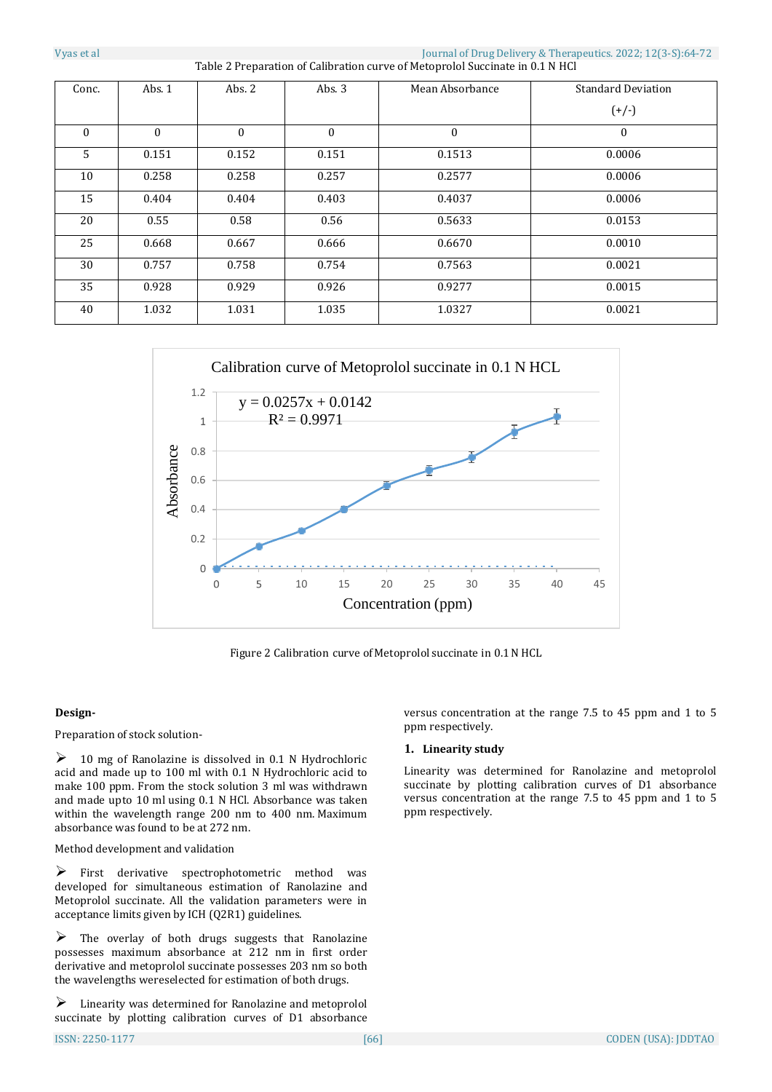| Conc.    | Abs. 1   | Abs. $2$     | Abs. $3$ | Mean Absorbance | <b>Standard Deviation</b> |
|----------|----------|--------------|----------|-----------------|---------------------------|
|          |          |              |          |                 | $(+/-)$                   |
| $\theta$ | $\theta$ | $\mathbf{0}$ | $\theta$ | $\theta$        | $\mathbf{0}$              |
| 5        | 0.151    | 0.152        | 0.151    | 0.1513          | 0.0006                    |
| 10       | 0.258    | 0.258        | 0.257    | 0.2577          | 0.0006                    |
| 15       | 0.404    | 0.404        | 0.403    | 0.4037          | 0.0006                    |
| 20       | 0.55     | 0.58         | 0.56     | 0.5633          | 0.0153                    |
| 25       | 0.668    | 0.667        | 0.666    | 0.6670          | 0.0010                    |
| 30       | 0.757    | 0.758        | 0.754    | 0.7563          | 0.0021                    |
| 35       | 0.928    | 0.929        | 0.926    | 0.9277          | 0.0015                    |
| 40       | 1.032    | 1.031        | 1.035    | 1.0327          | 0.0021                    |



Figure 2 Calibration curve of Metoprolol succinate in 0.1 N HCL

## **Design-**

Preparation of stock solution-

 $\geq$  10 mg of Ranolazine is dissolved in 0.1 N Hydrochloric acid and made up to 100 ml with 0.1 N Hydrochloric acid to make 100 ppm. From the stock solution 3 ml was withdrawn and made upto 10 ml using 0.1 N HCl. Absorbance was taken within the wavelength range 200 nm to 400 nm. Maximum absorbance was found to be at 272 nm.

Method development and validation

 $\triangleright$  First derivative spectrophotometric method was developed for simultaneous estimation of Ranolazine and Metoprolol succinate. All the validation parameters were in acceptance limits given by ICH (Q2R1) guidelines.

 $\triangleright$  The overlay of both drugs suggests that Ranolazine possesses maximum absorbance at 212 nm in first order derivative and metoprolol succinate possesses 203 nm so both the wavelengths wereselected for estimation of both drugs.

 $\triangleright$  Linearity was determined for Ranolazine and metoprolol succinate by plotting calibration curves of D1 absorbance versus concentration at the range 7.5 to 45 ppm and 1 to 5 ppm respectively.

#### **1. Linearity study**

Linearity was determined for Ranolazine and metoprolol succinate by plotting calibration curves of D1 absorbance versus concentration at the range 7.5 to 45 ppm and 1 to 5 ppm respectively.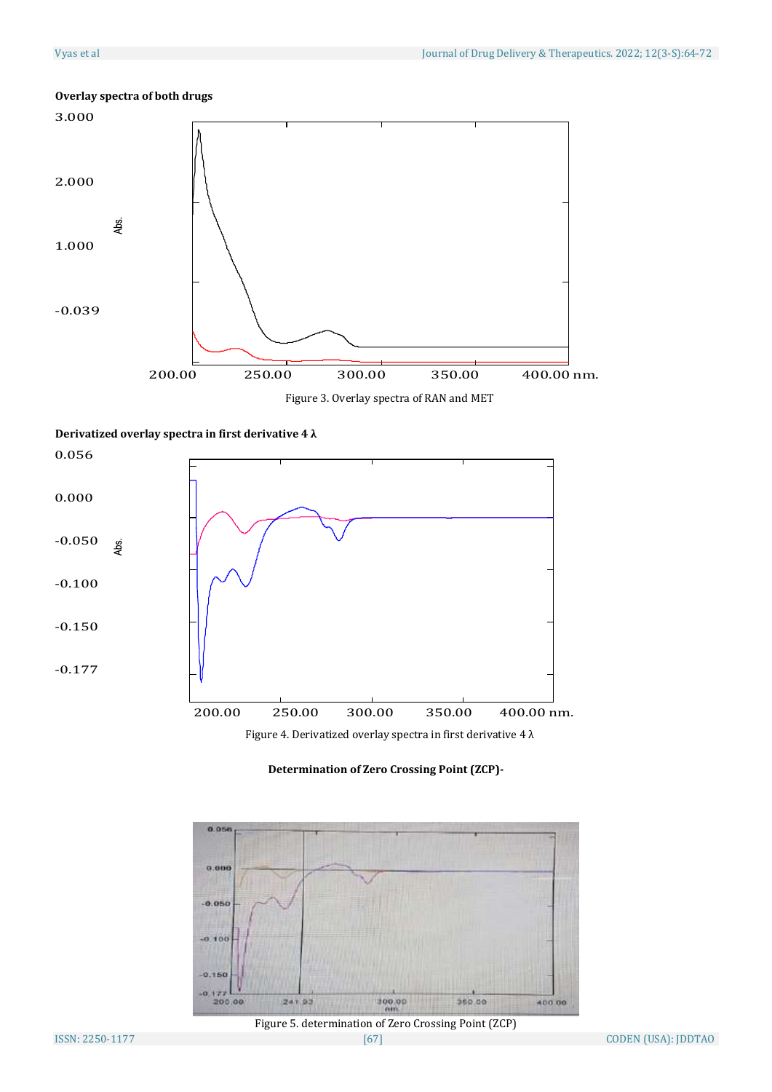

# **Overlay spectra of both drugs**

Figure 3. Overlay spectra of RAN and MET

# **Derivatized overlay spectra in first derivative 4 λ**



Figure 4. Derivatized overlay spectra in first derivative 4  $\lambda$ 

# **Determination of Zero Crossing Point (ZCP)-**



Figure 5. determination of Zero Crossing Point (ZCP)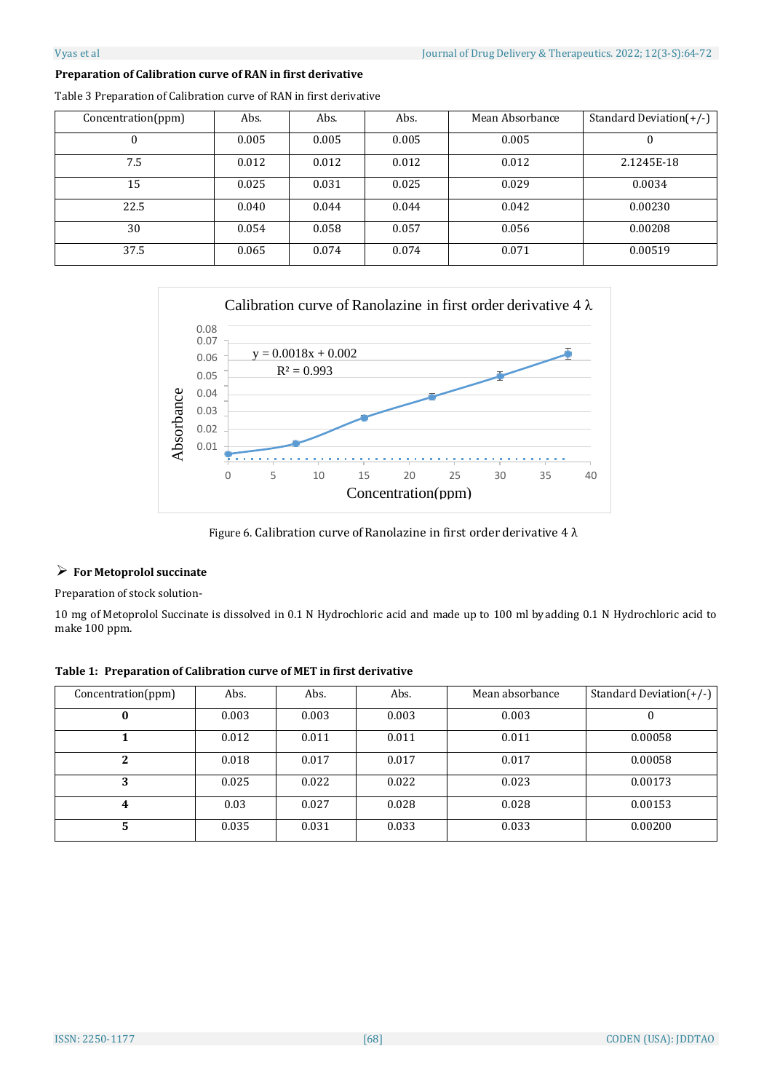# **Preparation of Calibration curve of RAN in first derivative**

| Concentration(ppm) | Abs.  | Abs.  | Abs.  | Mean Absorbance | Standard Deviation $(+/-)$ |
|--------------------|-------|-------|-------|-----------------|----------------------------|
| 0                  | 0.005 | 0.005 | 0.005 | 0.005           |                            |
| 7.5                | 0.012 | 0.012 | 0.012 | 0.012           | 2.1245E-18                 |
| 15                 | 0.025 | 0.031 | 0.025 | 0.029           | 0.0034                     |
| 22.5               | 0.040 | 0.044 | 0.044 | 0.042           | 0.00230                    |
| 30                 | 0.054 | 0.058 | 0.057 | 0.056           | 0.00208                    |
| 37.5               | 0.065 | 0.074 | 0.074 | 0.071           | 0.00519                    |

Table 3 Preparation of Calibration curve of RAN in first derivative



Figure 6. Calibration curve of Ranolazine in first order derivative 4  $\lambda$ 

## **For Metoprolol succinate**

Preparation of stock solution-

10 mg of Metoprolol Succinate is dissolved in 0.1 N Hydrochloric acid and made up to 100 ml byadding 0.1 N Hydrochloric acid to make 100 ppm.

| Table 1: Preparation of Calibration curve of MET in first derivative |  |
|----------------------------------------------------------------------|--|
|----------------------------------------------------------------------|--|

| Concentration(ppm) | Abs.  | Abs.  | Abs.  | Mean absorbance | Standard Deviation $(+/-)$ |
|--------------------|-------|-------|-------|-----------------|----------------------------|
|                    | 0.003 | 0.003 | 0.003 | 0.003           |                            |
|                    | 0.012 | 0.011 | 0.011 | 0.011           | 0.00058                    |
| 2                  | 0.018 | 0.017 | 0.017 | 0.017           | 0.00058                    |
| 3                  | 0.025 | 0.022 | 0.022 | 0.023           | 0.00173                    |
| 4                  | 0.03  | 0.027 | 0.028 | 0.028           | 0.00153                    |
| 5                  | 0.035 | 0.031 | 0.033 | 0.033           | 0.00200                    |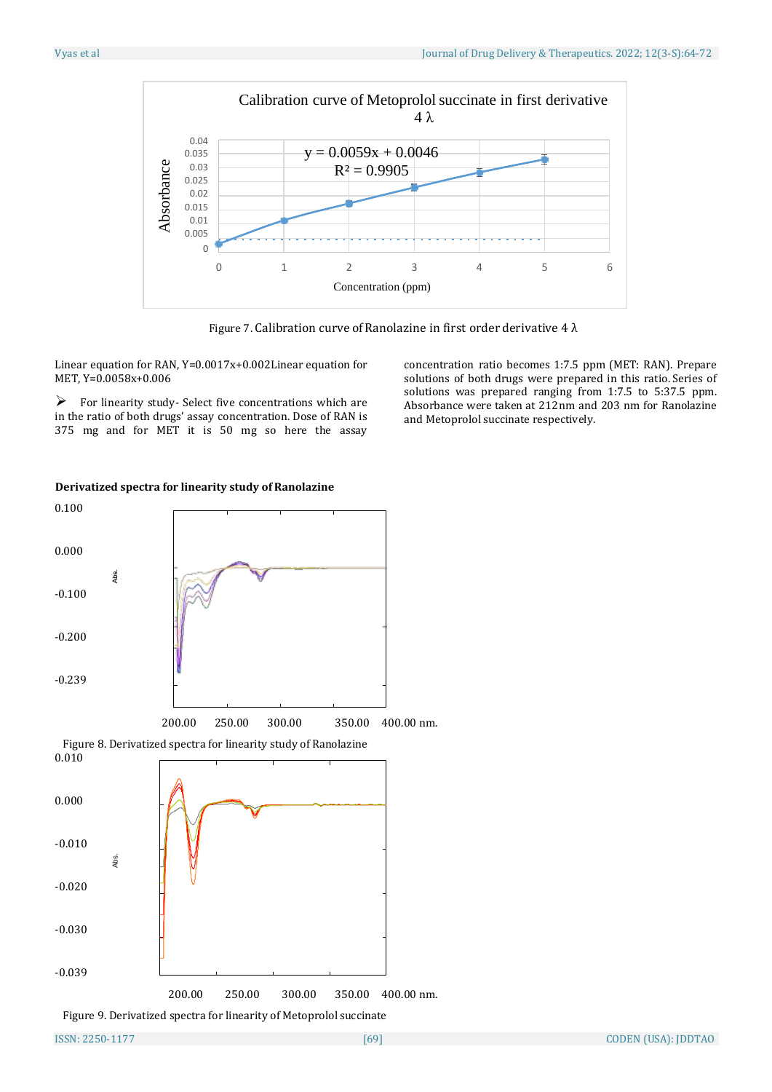

Figure 7. Calibration curve of Ranolazine in first order derivative 4  $\lambda$ 

Linear equation for RAN, Y=0.0017x+0.002Linear equation for MET, Y=0.0058x+0.006

 $\triangleright$  For linearity study- Select five concentrations which are in the ratio of both drugs' assay concentration. Dose of RAN is 375 mg and for MET it is 50 mg so here the assay

concentration ratio becomes 1:7.5 ppm (MET: RAN). Prepare solutions of both drugs were prepared in this ratio. Series of solutions was prepared ranging from 1:7.5 to 5:37.5 ppm. Absorbance were taken at 212nm and 203 nm for Ranolazine and Metoprolol succinate respectively.



# **Derivatized spectra for linearity study of Ranolazine**

Figure 9. Derivatized spectra for linearity of Metoprolol succinate

200.00 250.00 300.00 350.00 400.00 nm.

-0.010

Abs.

-0.020

-0.030

-0.039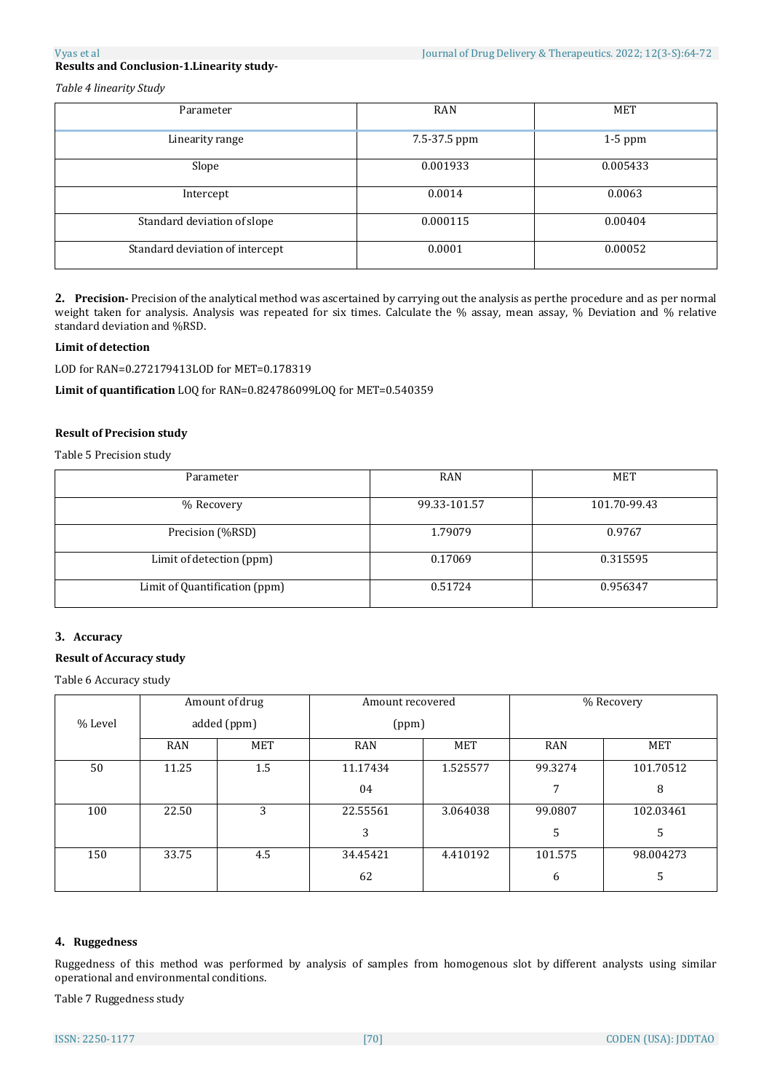*Table 4 linearity Study*

| Parameter                       | <b>RAN</b>   | <b>MET</b> |
|---------------------------------|--------------|------------|
|                                 |              |            |
| Linearity range                 | 7.5-37.5 ppm | $1-5$ ppm  |
|                                 |              |            |
| Slope                           | 0.001933     | 0.005433   |
|                                 |              |            |
| Intercept                       | 0.0014       | 0.0063     |
|                                 |              |            |
| Standard deviation of slope     | 0.000115     | 0.00404    |
|                                 |              |            |
| Standard deviation of intercept | 0.0001       | 0.00052    |
|                                 |              |            |

**2. Precision-** Precision ofthe analytical method was ascertained by carrying out the analysis as perthe procedure and as per normal weight taken for analysis. Analysis was repeated for six times. Calculate the % assay, mean assay, % Deviation and % relative standard deviation and %RSD.

### **Limit of detection**

LOD for RAN=0.272179413LOD for MET=0.178319

**Limit of quantification** LOQ for RAN=0.824786099LOQ for MET=0.540359

#### **Result of Precision study**

Table 5 Precision study

| Parameter                     | RAN          | <b>MET</b>   |
|-------------------------------|--------------|--------------|
| % Recovery                    | 99.33-101.57 | 101.70-99.43 |
| Precision (%RSD)              | 1.79079      | 0.9767       |
| Limit of detection (ppm)      | 0.17069      | 0.315595     |
| Limit of Quantification (ppm) | 0.51724      | 0.956347     |

#### **3. Accuracy**

### **Result of Accuracy study**

Table 6 Accuracy study

|         |            | Amount of drug | Amount recovered |            | % Recovery |            |
|---------|------------|----------------|------------------|------------|------------|------------|
| % Level |            | added (ppm)    | (ppm)            |            |            |            |
|         | <b>RAN</b> | MET            | <b>RAN</b>       | <b>MET</b> | <b>RAN</b> | <b>MET</b> |
| 50      | 11.25      | 1.5            | 11.17434         | 1.525577   | 99.3274    | 101.70512  |
|         |            |                | 04               |            | 7          | 8          |
| 100     | 22.50      | 3              | 22.55561         | 3.064038   | 99.0807    | 102.03461  |
|         |            |                | 3                |            | 5          | 5          |
| 150     | 33.75      | 4.5            | 34.45421         | 4.410192   | 101.575    | 98.004273  |
|         |            |                | 62               |            | 6          | 5          |

## **4. Ruggedness**

Ruggedness of this method was performed by analysis of samples from homogenous slot by different analysts using similar operational and environmental conditions.

Table 7 Ruggedness study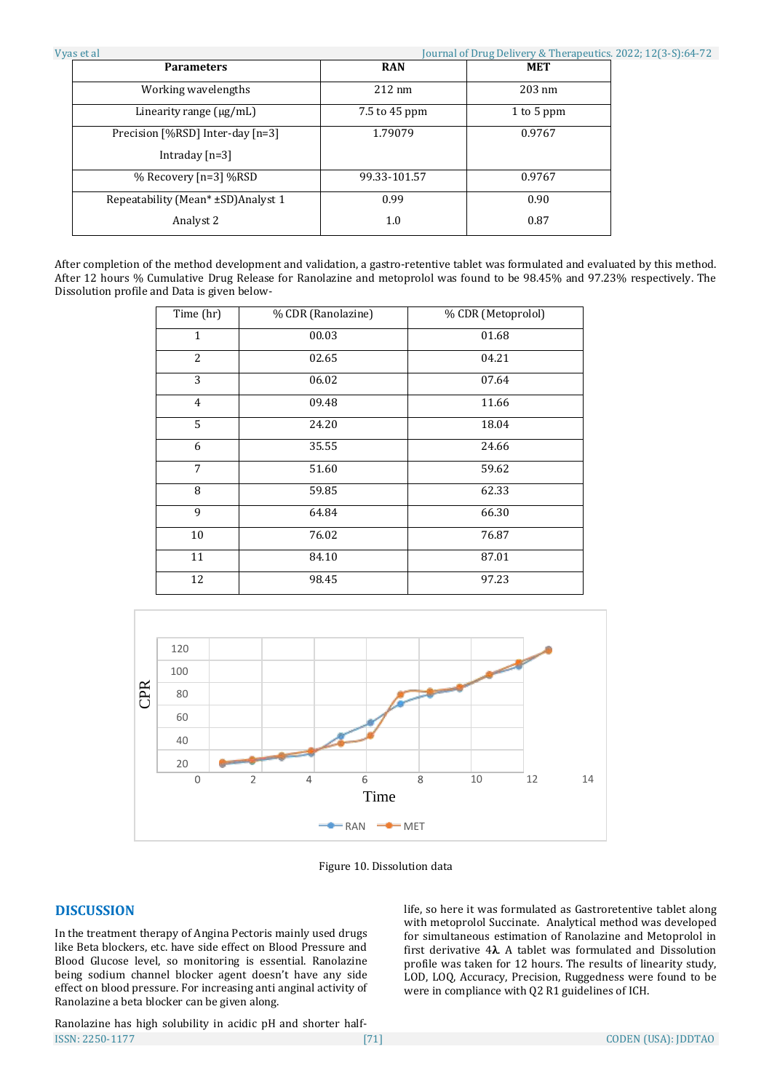After completion of the method development and validation, a gastro-retentive tablet was formulated and evaluated by this method. After 12 hours % Cumulative Drug Release for Ranolazine and metoprolol was found to be 98.45% and 97.23% respectively. The Dissolution profile and Data is given below-

1.0

0.87

| Time (hr)      | % CDR (Ranolazine) | % CDR (Metoprolol) |  |  |
|----------------|--------------------|--------------------|--|--|
| $\mathbf{1}$   | 00.03              | 01.68              |  |  |
| $\overline{2}$ | 02.65              | 04.21              |  |  |
| 3              | 06.02              | 07.64              |  |  |
| 4              | 09.48              | 11.66              |  |  |
| 5              | 24.20              | 18.04              |  |  |
| 6              | 35.55              | 24.66              |  |  |
| 7              | 51.60              | 59.62              |  |  |
| 8              | 59.85              | 62.33              |  |  |
| 9              | 64.84              | 66.30              |  |  |
| 10             | 76.02              | 76.87              |  |  |
| 11             | 84.10              | 87.01              |  |  |
| 12             | 98.45              | 97.23              |  |  |



Figure 10. Dissolution data

# **DISCUSSION**

In the treatment therapy of Angina Pectoris mainly used drugs like Beta blockers, etc. have side effect on Blood Pressure and Blood Glucose level, so monitoring is essential. Ranolazine being sodium channel blocker agent doesn't have any side effect on blood pressure. For increasing anti anginal activity of Ranolazine a beta blocker can be given along.

Analyst 2

ISSN: 2250-1177 [71] CODEN (USA): JDDTAO Ranolazine has high solubility in acidic pH and shorter half-

life, so here it was formulated as Gastroretentive tablet along with metoprolol Succinate. Analytical method was developed for simultaneous estimation of Ranolazine and Metoprolol in first derivative 4**λ**. A tablet was formulated and Dissolution profile was taken for 12 hours. The results of linearity study, LOD, LOQ, Accuracy, Precision, Ruggedness were found to be were in compliance with Q2 R1 guidelines of ICH.